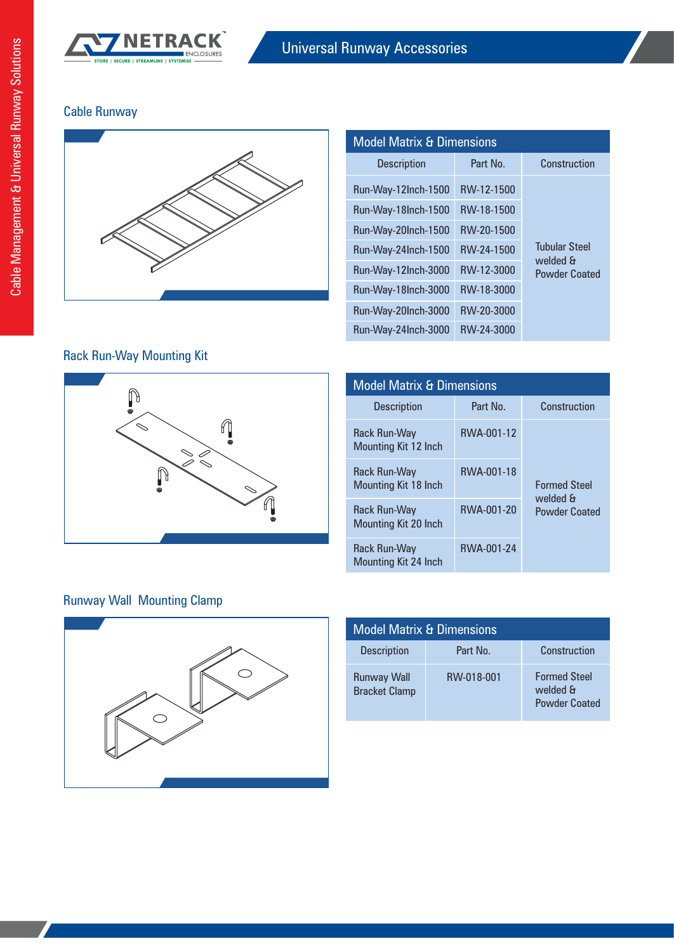

## Cable Runway



| <b>Model Matrix &amp; Dimensions</b> |            |                                                          |
|--------------------------------------|------------|----------------------------------------------------------|
| <b>Description</b>                   | Part No.   | Construction                                             |
| Run-Way-12Inch-1500                  | RW-12-1500 |                                                          |
| Run-Way-18Inch-1500                  | RW-18-1500 | <b>Tubular Steel</b><br>welded &<br><b>Powder Coated</b> |
| Run-Way-20Inch-1500                  | RW-20-1500 |                                                          |
| Run-Way-24Inch-1500                  | RW-24-1500 |                                                          |
| Run-Way-12Inch-3000                  | RW-12-3000 |                                                          |
| Run-Way-18Inch-3000                  | RW-18-3000 |                                                          |
| Run-Way-20Inch-3000                  | RW-20-3000 |                                                          |
| Run-Way-24Inch-3000                  | RW-24-3000 |                                                          |

### Rack Run-Way Mounting Kit



| <b>Model Matrix &amp; Dimensions</b>        |            |                                                         |
|---------------------------------------------|------------|---------------------------------------------------------|
| <b>Description</b>                          | Part No.   | Construction                                            |
| Rack Run-Way<br>Mounting Kit 12 Inch        | RWA-001-12 |                                                         |
| Rack Run-Way<br>Mounting Kit 18 Inch        | RWA-001-18 | <b>Formed Steel</b><br>B bablaw<br><b>Powder Coated</b> |
| Rack Run-Way<br><b>Mounting Kit 20 Inch</b> | RWA-001-20 |                                                         |
| Rack Run-Way<br><b>Mounting Kit 24 Inch</b> | RWA-001-24 |                                                         |

## Runway Wall Mounting Clamp



| <b>Model Matrix &amp; Dimensions</b>       |            |                                                         |
|--------------------------------------------|------------|---------------------------------------------------------|
| <b>Description</b>                         | Part No.   | Construction                                            |
| <b>Runway Wall</b><br><b>Bracket Clamp</b> | RW-018-001 | <b>Formed Steel</b><br>welded &<br><b>Powder Coated</b> |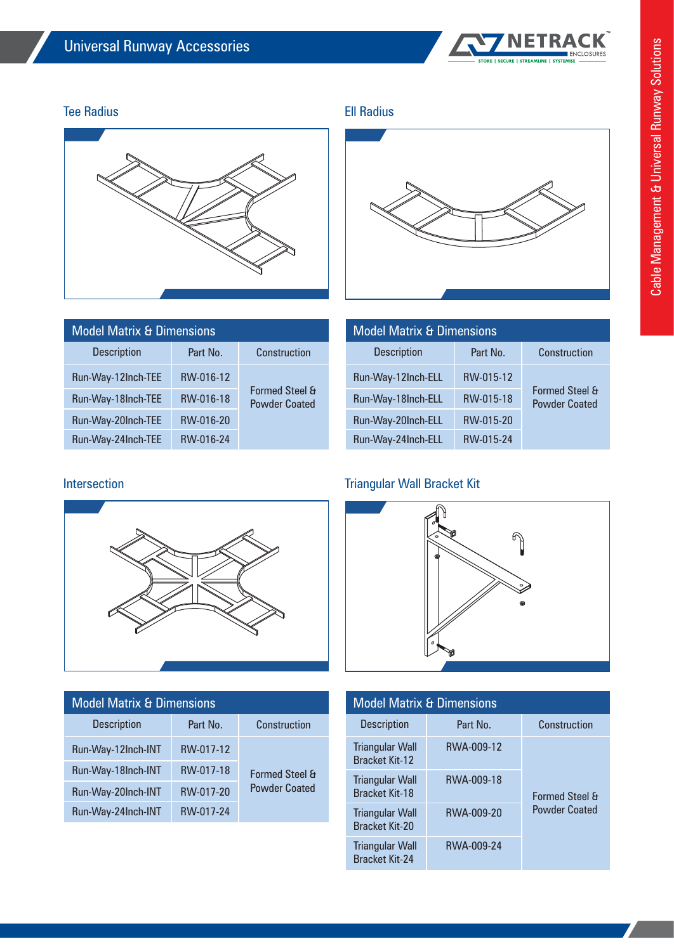

### Tee Radius **Ell Radius** Ellen Ell Radius



| <b>Model Matrix &amp; Dimensions</b> |           |                                                   | <b>Model Matrix &amp; Dimensions</b> |           |
|--------------------------------------|-----------|---------------------------------------------------|--------------------------------------|-----------|
| <b>Description</b>                   | Part No.  | Construction                                      | <b>Description</b>                   | Part No.  |
| Run-Way-12Inch-TEE                   | RW-016-12 | <b>Formed Steel &amp;</b><br><b>Powder Coated</b> | Run-Way-12Inch-ELL                   | RW-015-12 |
| Run-Way-18Inch-TEE                   | RW-016-18 |                                                   | Run-Way-18Inch-ELL                   | RW-015-18 |
| Run-Way-20Inch-TEE                   | RW-016-20 |                                                   | Run-Way-20Inch-ELL                   | RW-015-20 |
| Run-Way-24Inch-TEE                   | RW-016-24 |                                                   | Run-Way-24Inch-ELL                   | RW-015-24 |

# Model Matrix & Dimensions Description Part No.

| Run-Way-12Inch-ELL | RW-015-12 |                                                   |
|--------------------|-----------|---------------------------------------------------|
| Run-Way-18Inch-ELL | RW-015-18 | <b>Formed Steel &amp;</b><br><b>Powder Coated</b> |
| Run-Way-20Inch-ELL | RW-015-20 |                                                   |
| Run-Way-24Inch-ELL | RW-015-24 |                                                   |

**Construction** 

### Intersection **Intersection** Triangular Wall Bracket Kit



| <b>Model Matrix &amp; Dimensions</b>            |            |                           |
|-------------------------------------------------|------------|---------------------------|
| <b>Description</b>                              | Part No.   | Construction              |
| <b>Triangular Wall</b><br><b>Bracket Kit-12</b> | RWA-009-12 |                           |
| <b>Triangular Wall</b><br><b>Bracket Kit-18</b> | RWA-009-18 | <b>Formed Steel &amp;</b> |
| <b>Triangular Wall</b><br><b>Bracket Kit-20</b> | RWA-009-20 | <b>Powder Coated</b>      |
| <b>Triangular Wall</b><br><b>Bracket Kit-24</b> | RWA-009-24 |                           |



### Construction Model Matrix & Dimensions Description Part No.

| <b>DESCRIPTION</b> | Fail IVU. | <b>UUISHUULUI</b>                                 |
|--------------------|-----------|---------------------------------------------------|
| Run-Way-12Inch-INT | RW-017-12 | <b>Formed Steel &amp;</b><br><b>Powder Coated</b> |
| Run-Way-18Inch-INT | RW-017-18 |                                                   |
| Run-Way-20Inch-INT | RW-017-20 |                                                   |
| Run-Way-24Inch-INT | RW-017-24 |                                                   |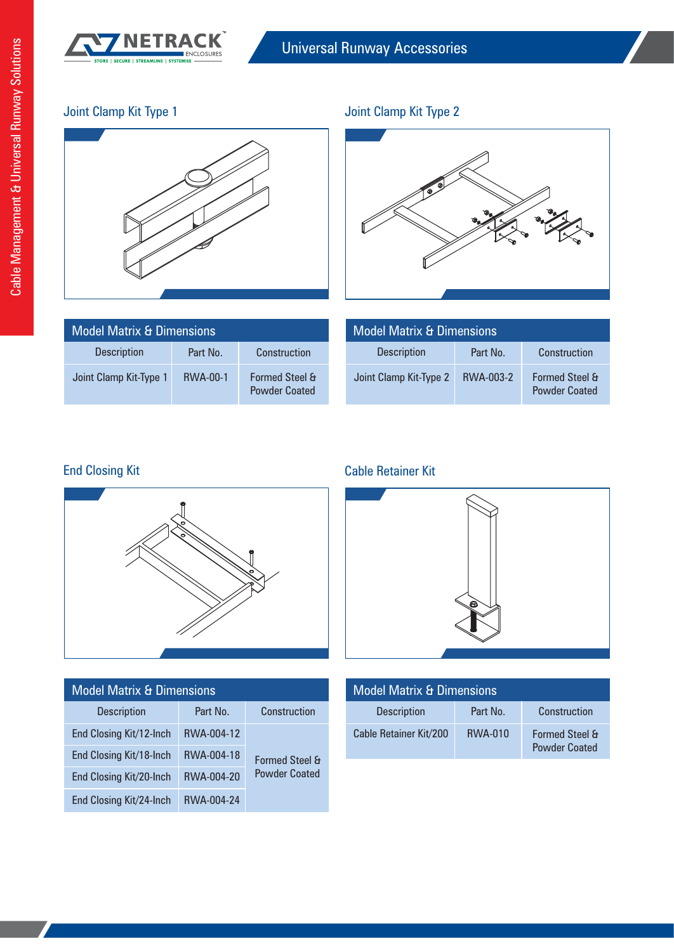

## Joint Clamp Kit Type 1



## Joint Clamp Kit Type 2



| <b>Model Matrix &amp; Dimensions</b> |                 |                                                   |
|--------------------------------------|-----------------|---------------------------------------------------|
| <b>Description</b>                   | Part No.        | Construction                                      |
| Joint Clamp Kit-Type 1               | <b>RWA-00-1</b> | <b>Formed Steel &amp;</b><br><b>Powder Coated</b> |

| <b>Model Matrix &amp; Dimensions</b> |           |                                                   |
|--------------------------------------|-----------|---------------------------------------------------|
| <b>Description</b>                   | Part No.  | Construction                                      |
| Joint Clamp Kit-Type 2               | RWA-003-2 | <b>Formed Steel &amp;</b><br><b>Powder Coated</b> |



| <b>Model Matrix &amp; Dimensions</b> |            |                           |
|--------------------------------------|------------|---------------------------|
| <b>Description</b>                   | Part No.   | Construction              |
| End Closing Kit/12-Inch              | RWA-004-12 |                           |
| End Closing Kit/18-Inch              | RWA-004-18 | <b>Formed Steel &amp;</b> |
| End Closing Kit/20-Inch              | RWA-004-20 | <b>Powder Coated</b>      |
| End Closing Kit/24-Inch              | RWA-004-24 |                           |

### End Closing Kit Cable Retainer Kit



| <b>Model Matrix &amp; Dimensions</b> |                |                                                   |
|--------------------------------------|----------------|---------------------------------------------------|
| <b>Description</b>                   | Part No.       | Construction                                      |
| Cable Retainer Kit/200               | <b>RWA-010</b> | <b>Formed Steel &amp;</b><br><b>Powder Coated</b> |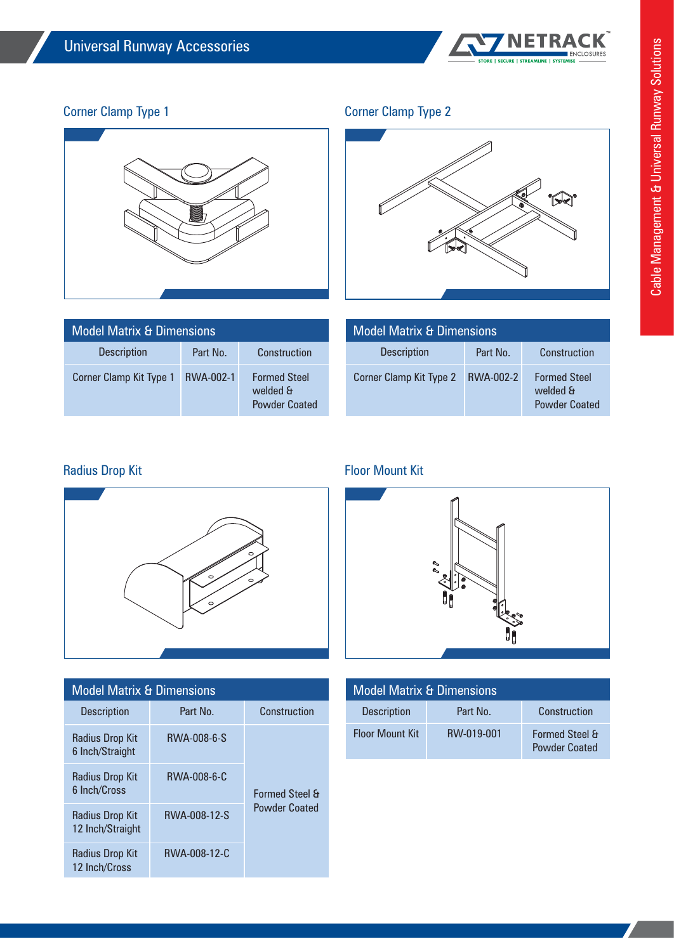

## Corner Clamp Type 1



### Corner Clamp Type 2



| <b>Model Matrix &amp; Dimensions</b> |           |                                                         |
|--------------------------------------|-----------|---------------------------------------------------------|
| <b>Description</b>                   | Part No.  | Construction                                            |
| Corner Clamp Kit Type 1              | RWA-002-1 | <b>Formed Steel</b><br>B bablaw<br><b>Powder Coated</b> |

| <b>Model Matrix &amp; Dimensions</b> |           |                                                         |
|--------------------------------------|-----------|---------------------------------------------------------|
| <b>Description</b>                   | Part No.  | Construction                                            |
| Corner Clamp Kit Type 2              | RWA-002-2 | <b>Formed Steel</b><br>welded &<br><b>Powder Coated</b> |



| <b>Model Matrix &amp; Dimensions</b>      |              |                           |
|-------------------------------------------|--------------|---------------------------|
| <b>Description</b>                        | Part No.     | Construction              |
| <b>Radius Drop Kit</b><br>6 Inch/Straight | RWA-008-6-S  |                           |
| Radius Drop Kit<br>6 Inch/Cross           | RWA-008-6-C  | <b>Formed Steel &amp;</b> |
| Radius Drop Kit<br>12 Inch/Straight       | RWA-008-12-S | <b>Powder Coated</b>      |
| Radius Drop Kit<br>12 Inch/Cross          | RWA-008-12-C |                           |

### Radius Drop Kit **Floor Mount Kit** Floor Mount Kit



| <b>Model Matrix &amp; Dimensions</b> |            |                                                   |
|--------------------------------------|------------|---------------------------------------------------|
| <b>Description</b>                   | Part No.   | Construction                                      |
| <b>Floor Mount Kit</b>               | RW-019-001 | <b>Formed Steel &amp;</b><br><b>Powder Coated</b> |